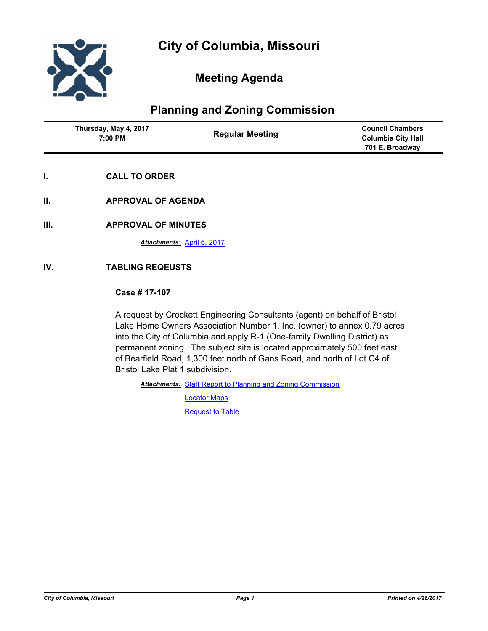

# **Meeting Agenda**

# **Planning and Zoning Commission**

| Thursday, May 4, 2017<br>7:00 PM | <b>Regular Meeting</b> | <b>Council Chambers</b><br><b>Columbia City Hall</b><br>701 E. Broadway |
|----------------------------------|------------------------|-------------------------------------------------------------------------|
|                                  |                        |                                                                         |

- **I. CALL TO ORDER**
- **II. APPROVAL OF AGENDA**
- **III. APPROVAL OF MINUTES**

*Attachments:* [April 6, 2017](http://gocolumbiamo.legistar.com/gateway.aspx?M=F&ID=b8c399eb-2269-409f-a1d1-a23f587472dd.docx)

## **IV. TABLING REQEUSTS**

#### **Case # 17-107**

A request by Crockett Engineering Consultants (agent) on behalf of Bristol Lake Home Owners Association Number 1, Inc. (owner) to annex 0.79 acres into the City of Columbia and apply R-1 (One-family Dwelling District) as permanent zoning. The subject site is located approximately 500 feet east of Bearfield Road, 1,300 feet north of Gans Road, and north of Lot C4 of Bristol Lake Plat 1 subdivision.

Attachments: [Staff Report to Planning and Zoning Commission](http://gocolumbiamo.legistar.com/gateway.aspx?M=F&ID=a86cdee2-5088-4c33-90f0-226238b4c121.pdf) [Locator Maps](http://gocolumbiamo.legistar.com/gateway.aspx?M=F&ID=43cd3d17-f182-469d-bfc1-934df7218be3.pdf)

**[Request to Table](http://gocolumbiamo.legistar.com/gateway.aspx?M=F&ID=a4405be6-81aa-453c-9012-cc3652e6b8ad.pdf)**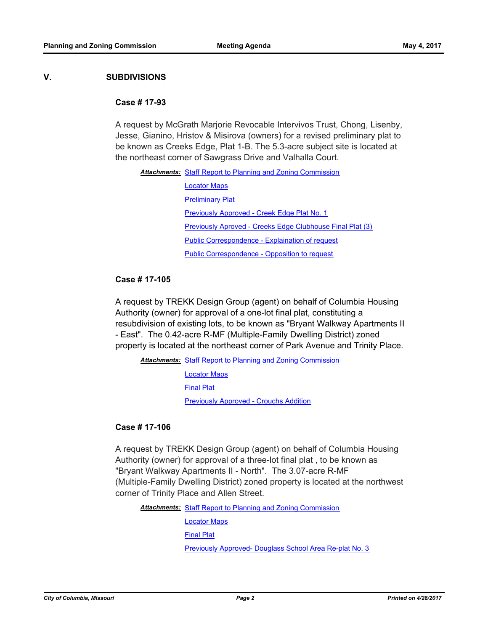#### **V. SUBDIVISIONS**

#### **Case # 17-93**

A request by McGrath Marjorie Revocable Intervivos Trust, Chong, Lisenby, Jesse, Gianino, Hristov & Misirova (owners) for a revised preliminary plat to be known as Creeks Edge, Plat 1-B. The 5.3-acre subject site is located at the northeast corner of Sawgrass Drive and Valhalla Court.

| <b>Attachments:</b> Staff Report to Planning and Zoning Commission |  |
|--------------------------------------------------------------------|--|
| <b>Locator Maps</b>                                                |  |
| <b>Preliminary Plat</b>                                            |  |
| Previously Approved - Creek Edge Plat No. 1                        |  |
| <b>Previously Aproved - Creeks Edge Clubhouse Final Plat (3)</b>   |  |
| <b>Public Correspondence - Explaination of request</b>             |  |
| <b>Public Correspondence - Opposition to request</b>               |  |

#### **Case # 17-105**

A request by TREKK Design Group (agent) on behalf of Columbia Housing Authority (owner) for approval of a one-lot final plat, constituting a resubdivision of existing lots, to be known as "Bryant Walkway Apartments II - East". The 0.42-acre R-MF (Multiple-Family Dwelling District) zoned property is located at the northeast corner of Park Avenue and Trinity Place.

Attachments: [Staff Report to Planning and Zoning Commission](http://gocolumbiamo.legistar.com/gateway.aspx?M=F&ID=2deb4412-15c5-426d-9b64-d290b516480e.pdf)

[Locator Maps](http://gocolumbiamo.legistar.com/gateway.aspx?M=F&ID=6d3d30fa-a53c-4680-9d4b-efe2cd06d4d7.pdf) [Final Plat](http://gocolumbiamo.legistar.com/gateway.aspx?M=F&ID=d2e010a6-4620-430c-bf24-f59684b1d79a.pdf) [Previously Approved - Crouchs Addition](http://gocolumbiamo.legistar.com/gateway.aspx?M=F&ID=be50fd6f-39c5-4c55-a9d7-f946642a7f5f.pdf)

### **Case # 17-106**

A request by TREKK Design Group (agent) on behalf of Columbia Housing Authority (owner) for approval of a three-lot final plat , to be known as "Bryant Walkway Apartments II - North". The 3.07-acre R-MF (Multiple-Family Dwelling District) zoned property is located at the northwest corner of Trinity Place and Allen Street.

Attachments: [Staff Report to Planning and Zoning Commission](http://gocolumbiamo.legistar.com/gateway.aspx?M=F&ID=70f58dae-42bd-4c03-86ad-afbb4e729467.pdf)

[Locator Maps](http://gocolumbiamo.legistar.com/gateway.aspx?M=F&ID=90b41e09-a441-4424-830e-ba0b3e20183c.pdf)

[Final Plat](http://gocolumbiamo.legistar.com/gateway.aspx?M=F&ID=a3b5d33a-6156-400f-820a-564353453fb7.pdf)

[Previously Approved- Douglass School Area Re-plat No. 3](http://gocolumbiamo.legistar.com/gateway.aspx?M=F&ID=558a07d3-cba6-42b8-9ee4-3e50f792a070.pdf)